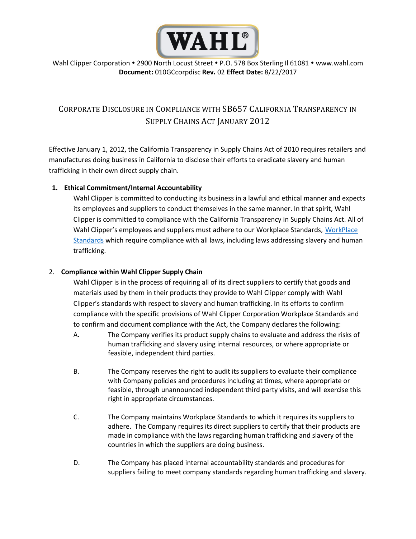

Wahl Clipper Corporation • 2900 North Locust Street • P.O. 578 Box Sterling II 61081 • www.wahl.com **Document:** 010GCcorpdisc **Rev.** 02 **Effect Date:** 8/22/2017

## CORPORATE DISCLOSURE IN COMPLIANCE WITH SB657 CALIFORNIA TRANSPARENCY IN SUPPLY CHAINS ACT JANUARY 2012

Effective January 1, 2012, the California Transparency in Supply Chains Act of 2010 requires retailers and manufactures doing business in California to disclose their efforts to eradicate slavery and human trafficking in their own direct supply chain.

## **1. Ethical Commitment/Internal Accountability**

Wahl Clipper is committed to conducting its business in a lawful and ethical manner and expects its employees and suppliers to conduct themselves in the same manner. In that spirit, Wahl Clipper is committed to compliance with the California Transparency in Supply Chains Act. All of Wahl Clipper's employees and suppliers must adhere to our Workplace Standards, [WorkPlace](https://wahl.com/perch/resources/workplace-standards-final-1.pdf)  [Standards](https://wahl.com/perch/resources/workplace-standards-final-1.pdf) which require compliance with all laws, including laws addressing slavery and human trafficking.

## 2. **Compliance within Wahl Clipper Supply Chain**

Wahl Clipper is in the process of requiring all of its direct suppliers to certify that goods and materials used by them in their products they provide to Wahl Clipper comply with Wahl Clipper's standards with respect to slavery and human trafficking. In its efforts to confirm compliance with the specific provisions of Wahl Clipper Corporation Workplace Standards and to confirm and document compliance with the Act, the Company declares the following:

- A. The Company verifies its product supply chains to evaluate and address the risks of human trafficking and slavery using internal resources, or where appropriate or feasible, independent third parties.
- B. The Company reserves the right to audit its suppliers to evaluate their compliance with Company policies and procedures including at times, where appropriate or feasible, through unannounced independent third party visits, and will exercise this right in appropriate circumstances.
- C. The Company maintains Workplace Standards to which it requires its suppliers to adhere. The Company requires its direct suppliers to certify that their products are made in compliance with the laws regarding human trafficking and slavery of the countries in which the suppliers are doing business.
- D. The Company has placed internal accountability standards and procedures for suppliers failing to meet company standards regarding human trafficking and slavery.